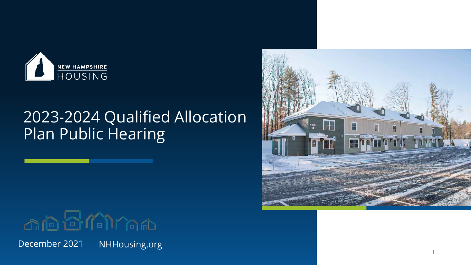

# 2023-2024 Qualified Allocation Plan Public Hearing



December 2021 NHHousing.org



1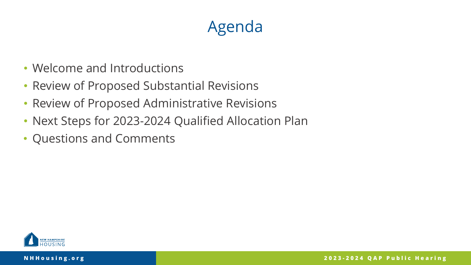# Agenda

- Welcome and Introductions
- Review of Proposed Substantial Revisions
- Review of Proposed Administrative Revisions
- Next Steps for 2023-2024 Qualified Allocation Plan
- Questions and Comments

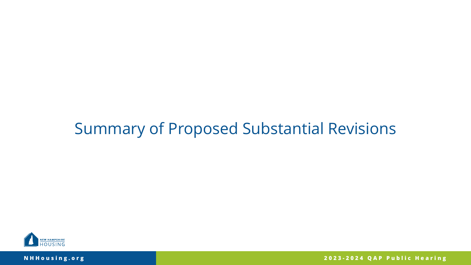### Summary of Proposed Substantial Revisions



**NHHousing.org**

**2023 - 2024 QAP Public Hearing**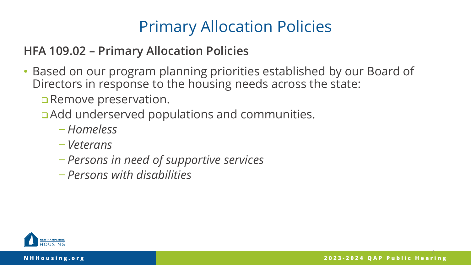# Primary Allocation Policies

#### **HFA 109.02 – Primary Allocation Policies**

- Based on our program planning priorities established by our Board of Directors in response to the housing needs across the state:
	- **Remove preservation.**
	- **Add underserved populations and communities.** 
		- − *Homeless*
		- − *Veterans*
		- − *Persons in need of supportive services*
		- − *Persons with disabilities*

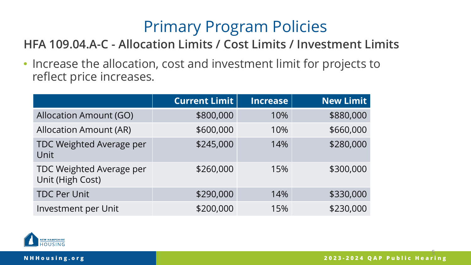# Primary Program Policies

#### **HFA 109.04.A-C - Allocation Limits / Cost Limits / Investment Limits**

• Increase the allocation, cost and investment limit for projects to reflect price increases.

|                                              | <b>Current Limit</b> | <b>Increase</b> | <b>New Limit</b> |
|----------------------------------------------|----------------------|-----------------|------------------|
| <b>Allocation Amount (GO)</b>                | \$800,000            | 10%             | \$880,000        |
| <b>Allocation Amount (AR)</b>                | \$600,000            | 10%             | \$660,000        |
| TDC Weighted Average per<br>Unit             | \$245,000            | 14%             | \$280,000        |
| TDC Weighted Average per<br>Unit (High Cost) | \$260,000            | 15%             | \$300,000        |
| <b>TDC Per Unit</b>                          | \$290,000            | 14%             | \$330,000        |
| Investment per Unit                          | \$200,000            | 15%             | \$230,000        |

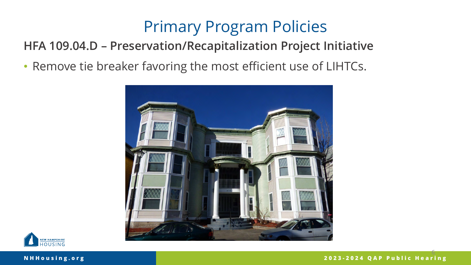# Primary Program Policies

#### **HFA 109.04.D – Preservation/Recapitalization Project Initiative**

• Remove tie breaker favoring the most efficient use of LIHTCs.





6 **2023 - 2024 QAP Public Hearing**

#### **NHHousing.org**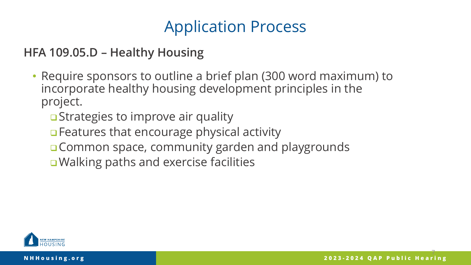# Application Process

**HFA 109.05.D – Healthy Housing**

- Require sponsors to outline a brief plan (300 word maximum) to incorporate healthy housing development principles in the project.
	- **□** Strategies to improve air quality
	- □ Features that encourage physical activity
	- **□ Common space, community garden and playgrounds**
	- **■Walking paths and exercise facilities**

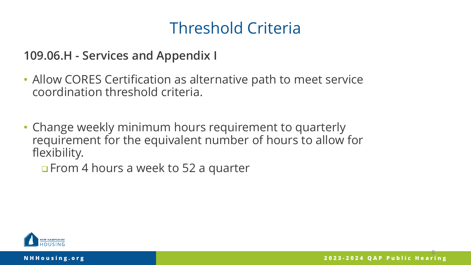**109.06.H - Services and Appendix I**

- Allow CORES Certification as alternative path to meet service coordination threshold criteria.
- Change weekly minimum hours requirement to quarterly requirement for the equivalent number of hours to allow for flexibility.

**OF** From 4 hours a week to 52 a quarter

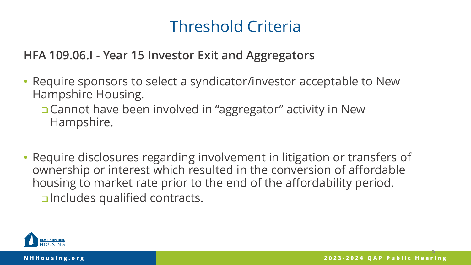**HFA 109.06.I - Year 15 Investor Exit and Aggregators**

- Require sponsors to select a syndicator/investor acceptable to New Hampshire Housing.
	- □ Cannot have been involved in "aggregator" activity in New Hampshire.
- Require disclosures regarding involvement in litigation or transfers of ownership or interest which resulted in the conversion of affordable housing to market rate prior to the end of the affordability period. **D**Includes qualified contracts.

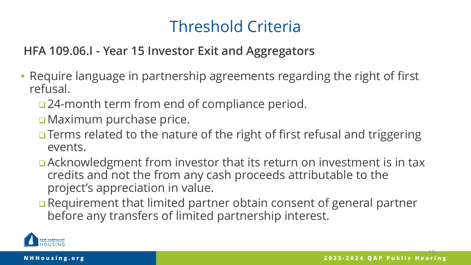#### **HFA 109.06.I - Year 15 Investor Exit and Aggregators**

- Require language in partnership agreements regarding the right of first refusal.
	- □ 24-month term from end of compliance period.
	- **D** Maximum purchase price.
	- **Terms related to the nature of the right of first refusal and triggering** events.
	- Acknowledgment from investor that its return on investment is in tax credits and not the from any cash proceeds attributable to the project's appreciation in value.
	- □ Requirement that limited partner obtain consent of general partner before any transfers of limited partnership interest.

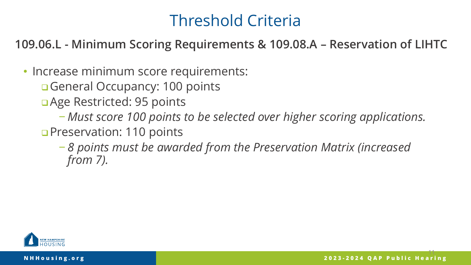**109.06.L - Minimum Scoring Requirements & 109.08.A – Reservation of LIHTC**

• Increase minimum score requirements:

General Occupancy: 100 points

- a Age Restricted: 95 points
	- − *Must score 100 points to be selected over higher scoring applications.*
- **Preservation: 110 points** 
	- − *8 points must be awarded from the Preservation Matrix (increased from 7).*

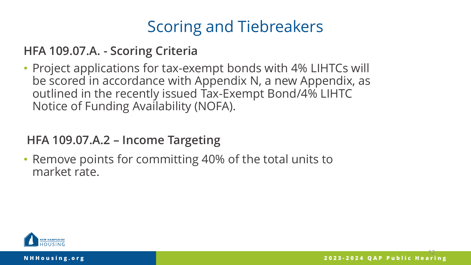**HFA 109.07.A. - Scoring Criteria**

• Project applications for tax-exempt bonds with 4% LIHTCs will be scored in accordance with Appendix N, a new Appendix, as outlined in the recently issued Tax-Exempt Bond/4% LIHTC Notice of Funding Availability (NOFA).

**HFA 109.07.A.2 – Income Targeting** 

• Remove points for committing 40% of the total units to market rate.

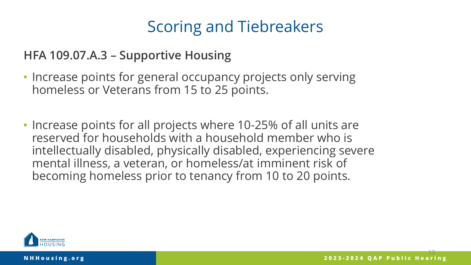**HFA 109.07.A.3 – Supportive Housing**

- Increase points for general occupancy projects only serving homeless or Veterans from 15 to 25 points.
- Increase points for all projects where 10-25% of all units are reserved for households with a household member who is intellectually disabled, physically disabled, experiencing severe mental illness, a veteran, or homeless/at imminent risk of becoming homeless prior to tenancy from 10 to 20 points.

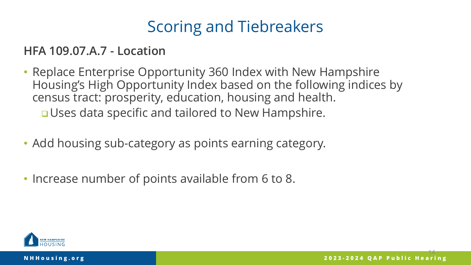**HFA 109.07.A.7 - Location**

- Replace Enterprise Opportunity 360 Index with New Hampshire Housing's High Opportunity Index based on the following indices by census tract: prosperity, education, housing and health. **<u>D</u>Uses data specific and tailored to New Hampshire.**
- Add housing sub-category as points earning category.
- Increase number of points available from 6 to 8.

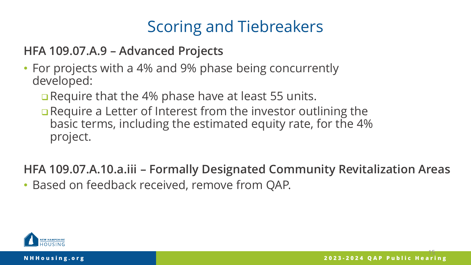**HFA 109.07.A.9 – Advanced Projects**

- For projects with a 4% and 9% phase being concurrently developed:
	- □ Require that the 4% phase have at least 55 units.
	- □ Require a Letter of Interest from the investor outlining the basic terms, including the estimated equity rate, for the 4% project.

**HFA 109.07.A.10.a.iii – Formally Designated Community Revitalization Areas**

• Based on feedback received, remove from QAP.

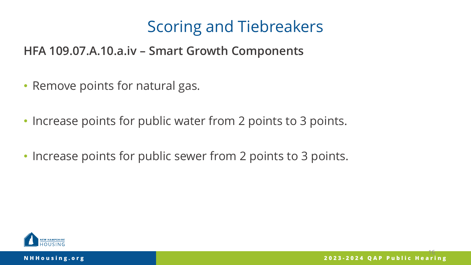**HFA 109.07.A.10.a.iv – Smart Growth Components** 

- Remove points for natural gas.
- Increase points for public water from 2 points to 3 points.
- Increase points for public sewer from 2 points to 3 points.

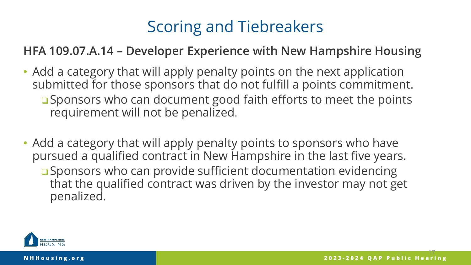**HFA 109.07.A.14 – Developer Experience with New Hampshire Housing**

- Add a category that will apply penalty points on the next application submitted for those sponsors that do not fulfill a points commitment. □ Sponsors who can document good faith efforts to meet the points requirement will not be penalized.
- Add a category that will apply penalty points to sponsors who have pursued a qualified contract in New Hampshire in the last five years. □ Sponsors who can provide sufficient documentation evidencing that the qualified contract was driven by the investor may not get penalized.

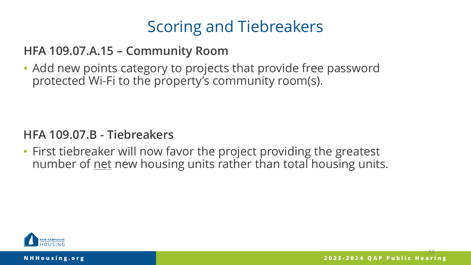**HFA 109.07.A.15 – Community Room**

• Add new points category to projects that provide free password protected Wi-Fi to the property's community room(s).

#### **HFA 109.07.B - Tiebreakers**

• First tiebreaker will now favor the project providing the greatest number of net new housing units rather than total housing units.

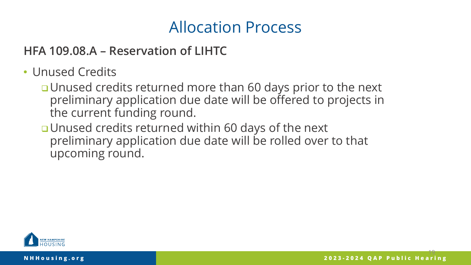### Allocation Process

**HFA 109.08.A – Reservation of LIHTC**

- Unused Credits
	- **□ Unused credits returned more than 60 days prior to the next** preliminary application due date will be offered to projects in the current funding round.
	- **u** Unused credits returned within 60 days of the next preliminary application due date will be rolled over to that upcoming round.

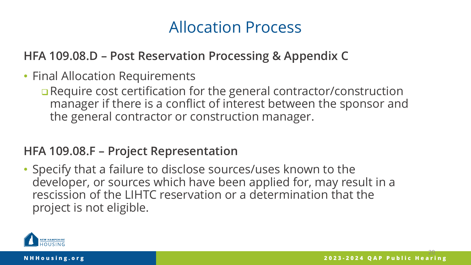### Allocation Process

**HFA 109.08.D – Post Reservation Processing & Appendix C** 

- Final Allocation Requirements
	- **Q** Require cost certification for the general contractor/construction manager if there is a conflict of interest between the sponsor and the general contractor or construction manager.

#### **HFA 109.08.F – Project Representation**

• Specify that a failure to disclose sources/uses known to the developer, or sources which have been applied for, may result in a rescission of the LIHTC reservation or a determination that the project is not eligible.

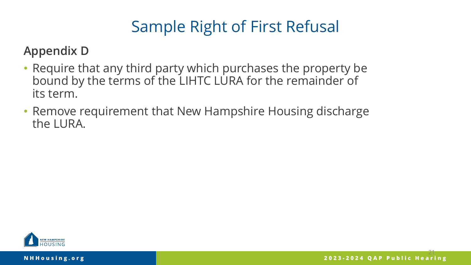# Sample Right of First Refusal

**Appendix D**

- Require that any third party which purchases the property be bound by the terms of the LIHTC LURA for the remainder of its term.
- Remove requirement that New Hampshire Housing discharge the LURA.

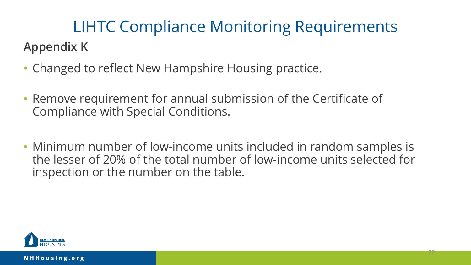### **Appendix K** LIHTC Compliance Monitoring Requirements

- Changed to reflect New Hampshire Housing practice.
- Remove requirement for annual submission of the Certificate of Compliance with Special Conditions.
- Minimum number of low-income units included in random samples is the lesser of 20% of the total number of low-income units selected for inspection or the number on the table.

22

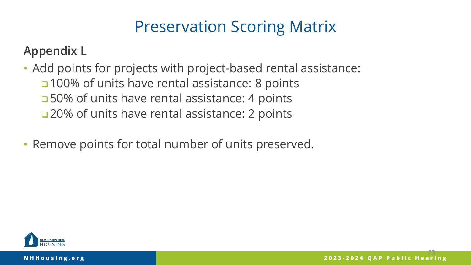# Preservation Scoring Matrix

#### **Appendix L**

• Add points for projects with project-based rental assistance: □ 100% of units have rental assistance: 8 points □50% of units have rental assistance: 4 points □ 20% of units have rental assistance: 2 points

• Remove points for total number of units preserved.

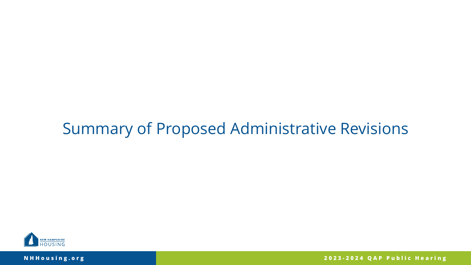### Summary of Proposed Administrative Revisions



**NHHousing.org**

**2023 - 2024 QAP Public Hearing**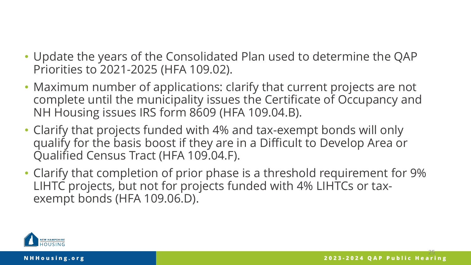- Update the years of the Consolidated Plan used to determine the QAP Priorities to 2021-2025 (HFA 109.02).
- Maximum number of applications: clarify that current projects are not complete until the municipality issues the Certificate of Occupancy and NH Housing issues IRS form 8609 (HFA 109.04.B).
- Clarify that projects funded with 4% and tax-exempt bonds will only qualify for the basis boost if they are in a Difficult to Develop Area or Qualified Census Tract (HFA 109.04.F).
- Clarify that completion of prior phase is a threshold requirement for 9% LIHTC projects, but not for projects funded with 4% LIHTCs or taxexempt bonds (HFA 109.06.D).

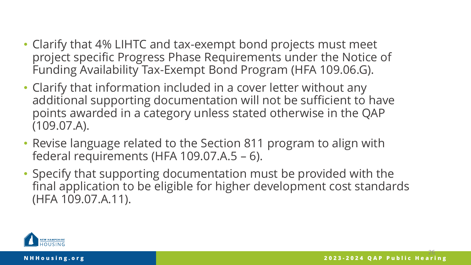- Clarify that 4% LIHTC and tax-exempt bond projects must meet project specific Progress Phase Requirements under the Notice of Funding Availability Tax-Exempt Bond Program (HFA 109.06.G).
- Clarify that information included in a cover letter without any additional supporting documentation will not be sufficient to have points awarded in a category unless stated otherwise in the QAP (109.07.A).
- Revise language related to the Section 811 program to align with federal requirements (HFA 109.07.A.5 – 6).
- Specify that supporting documentation must be provided with the final application to be eligible for higher development cost standards (HFA 109.07.A.11).

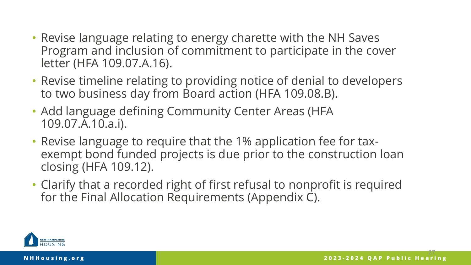- Revise language relating to energy charette with the NH Saves Program and inclusion of commitment to participate in the cover letter (HFA 109.07.A.16).
- Revise timeline relating to providing notice of denial to developers to two business day from Board action (HFA 109.08.B).
- Add language defining Community Center Areas (HFA 109.07.A.10.a.i).
- Revise language to require that the 1% application fee for taxexempt bond funded projects is due prior to the construction loan closing (HFA 109.12).
- Clarify that a recorded right of first refusal to nonprofit is required for the Final Allocation Requirements (Appendix C).

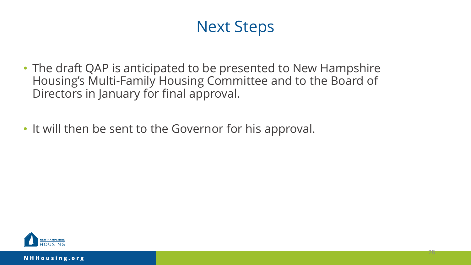# Next Steps

28

- The draft QAP is anticipated to be presented to New Hampshire Housing's Multi-Family Housing Committee and to the Board of Directors in January for final approval.
- It will then be sent to the Governor for his approval.

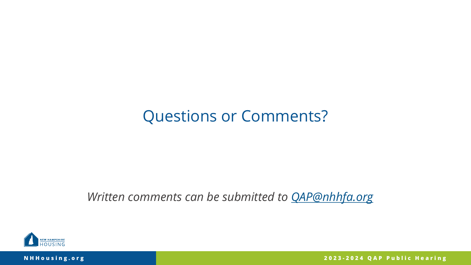### Questions or Comments?

*Written comments can be submitted to [QAP@nhhfa.org](mailto:QAP@nhhfa.org)*



**NHHousing.org**

**2023 - 2024 QAP Public Hearing**